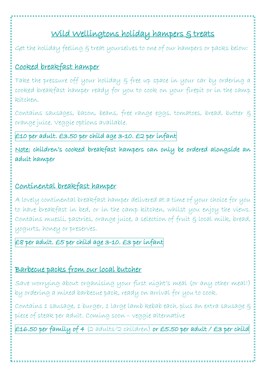# Wild Wellingtons holiday hampers & treats

Get the holiday feeling  $\xi$  treat yourselves to one of our hampers or packs below:

## Cooked breakfast hamper

Take the pressure off your holiday & free up space in your car by ordering a cooked breakfast hamper ready for you to cook on your firepit or in the camp kitchen.

Contains sausages, bacon, beans, free range eggs, tomatoes, bread, butter & orange juice. Veggie options available.

£10 per adult. £3.50 per child age 3-10. £2 per infant

Note: children's cooked breakfast hampers can only be ordered alongside an adult hamper

### Continental breakfast hamper

A lovely continental breakfast hamper delivered at a time of your choice for you to have breakfast in bed, or in the camp kitchen, whilst you enjoy the views. Contains muesli, pastries, orange juice, a selection of fruit & local milk, bread, yogurts, honey or preserves.

#### £8 per adult. £5 per child age 3-10. £3 per infant

### Barbecue packs from our local butcher

Save worrying about organising your first night's meal (or any other meal!) by ordering a mixed barbecue pack, ready on arrival for you to cook.

Contains 1 sausage, 1 burger, 1 large lamb kebab each, plus an extra sausage & piece of steak per adult. Coming soon – veggie alternative

£16.50 per family of 4 (2 adults/2 children) or £5.50 per adult / £3 per child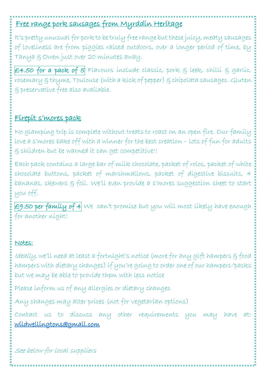# Free range pork sausages from Myrddin Heritage

It's pretty unusual for pork to be truly free range but these juicy, meaty sausages of loveliness are from piggies raised outdoors, over a longer period of time, by Tanya & Owen just over 20 minutes away.

£4.50 for a pack of 5 Flavours include classic, pork  $\xi$  leek, chilli  $\xi$  garlic, rosemary & thyme, Toulouse (with a kick of pepper) & chipolata sausages. Gluten & preservative free also available.

### Firepit s'mores pack

No glamping trip is complete without treats to roast on an open fire. Our family love a s'mores bake off with a winner for the best creation – lots of fun for adults & children but be warned it can get competitive!!

Each pack contains a large bar of milk chocolate, packet of rolos, packet of white chocolate buttons, packet of marshmallows, packet of digestive biscuits, 4 bananas, skewers & foil. We'll even provide a s'mores suggestion sheet to start you off.

 $\epsilon$ 9.50 per family of 4 We can't promise but you will most likely have enough for another night!

#### Notes:

Ideally, we'll need at least a fortnight's notice (more for any gift hampers & food hampers with dietary changes) if you're going to order one of our hampers/packs but we may be able to provide them with less notice

Please inform us of any allergies or dietary changes

Any changes may alter prices (not for vegetarian options)

Contact us to discuss any other requirements you may have at: [wildwellingtons@gmail.com](mailto:wildwellingtons@gmail.com) 

See below for local suppliers